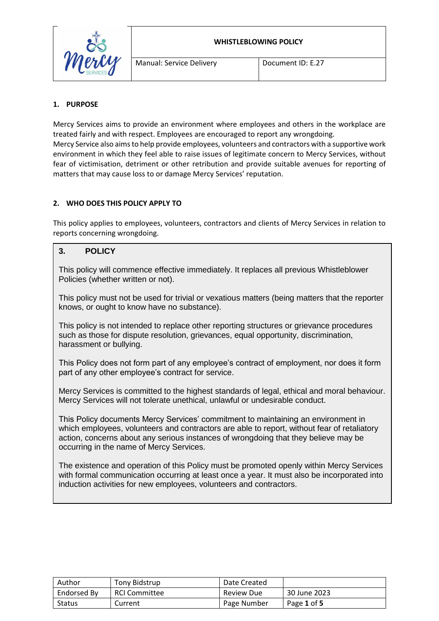

#### **WHISTLEBLOWING POLICY**

## **1. PURPOSE**

Mercy Services aims to provide an environment where employees and others in the workplace are treated fairly and with respect. Employees are encouraged to report any wrongdoing. Mercy Service also aims to help provide employees, volunteers and contractors with a supportive work environment in which they feel able to raise issues of legitimate concern to Mercy Services, without fear of victimisation, detriment or other retribution and provide suitable avenues for reporting of matters that may cause loss to or damage Mercy Services' reputation.

### **2. WHO DOES THIS POLICY APPLY TO**

This policy applies to employees, volunteers, contractors and clients of Mercy Services in relation to reports concerning wrongdoing.

# **3. POLICY**

This policy will commence effective immediately. It replaces all previous Whistleblower Policies (whether written or not).

This policy must not be used for trivial or vexatious matters (being matters that the reporter knows, or ought to know have no substance).

This policy is not intended to replace other reporting structures or grievance procedures such as those for dispute resolution, grievances, equal opportunity, discrimination, harassment or bullying.

This Policy does not form part of any employee's contract of employment, nor does it form part of any other employee's contract for service.

Mercy Services is committed to the highest standards of legal, ethical and moral behaviour. Mercy Services will not tolerate unethical, unlawful or undesirable conduct.

This Policy documents Mercy Services' commitment to maintaining an environment in which employees, volunteers and contractors are able to report, without fear of retaliatory action, concerns about any serious instances of wrongdoing that they believe may be occurring in the name of Mercy Services.

The existence and operation of this Policy must be promoted openly within Mercy Services with formal communication occurring at least once a year. It must also be incorporated into induction activities for new employees, volunteers and contractors.

| Author        | Tony Bidstrup | Date Created      |              |
|---------------|---------------|-------------------|--------------|
| Endorsed By   | RCI Committee | <b>Review Due</b> | 30 June 2023 |
| <b>Status</b> | Current       | Page Number       | Page 1 of 5  |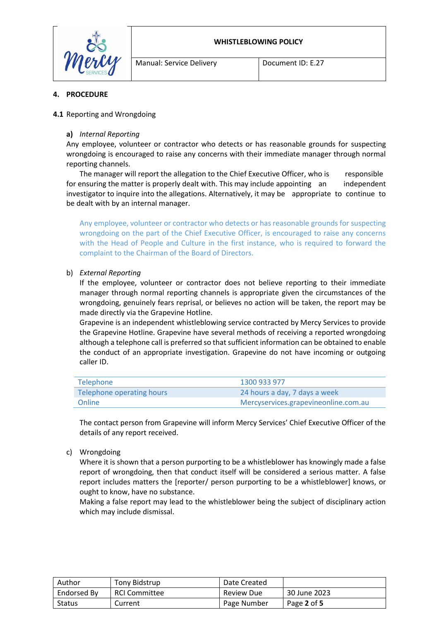



#### **4. PROCEDURE**

#### **4.1** Reporting and Wrongdoing

#### **a)** *Internal Reporting*

Any employee, volunteer or contractor who detects or has reasonable grounds for suspecting wrongdoing is encouraged to raise any concerns with their immediate manager through normal reporting channels.

The manager will report the allegation to the Chief Executive Officer, who is responsible for ensuring the matter is properly dealt with. This may include appointing an independent investigator to inquire into the allegations. Alternatively, it may be appropriate to continue to be dealt with by an internal manager.

Any employee, volunteer or contractor who detects or has reasonable grounds for suspecting wrongdoing on the part of the Chief Executive Officer, is encouraged to raise any concerns with the Head of People and Culture in the first instance, who is required to forward the complaint to the Chairman of the Board of Directors.

#### b) *External Reporting*

If the employee, volunteer or contractor does not believe reporting to their immediate manager through normal reporting channels is appropriate given the circumstances of the wrongdoing, genuinely fears reprisal, or believes no action will be taken, the report may be made directly via the Grapevine Hotline.

Grapevine is an independent whistleblowing service contracted by Mercy Services to provide the Grapevine Hotline. Grapevine have several methods of receiving a reported wrongdoing although a telephone call is preferred so that sufficient information can be obtained to enable the conduct of an appropriate investigation. Grapevine do not have incoming or outgoing caller ID.

| Telephone                 | 1300 933 977                         |
|---------------------------|--------------------------------------|
| Telephone operating hours | 24 hours a day, 7 days a week        |
| Online                    | Mercyservices.grapevineonline.com.au |

The contact person from Grapevine will inform Mercy Services' Chief Executive Officer of the details of any report received.

#### c) Wrongdoing

Where it is shown that a person purporting to be a whistleblower has knowingly made a false report of wrongdoing, then that conduct itself will be considered a serious matter. A false report includes matters the [reporter/ person purporting to be a whistleblower] knows, or ought to know, have no substance.

Making a false report may lead to the whistleblower being the subject of disciplinary action which may include dismissal.

| Author        | Tony Bidstrup        | Date Created |              |
|---------------|----------------------|--------------|--------------|
| Endorsed By   | <b>RCI Committee</b> | Review Due   | 30 June 2023 |
| <b>Status</b> | Current              | Page Number  | Page 2 of 5  |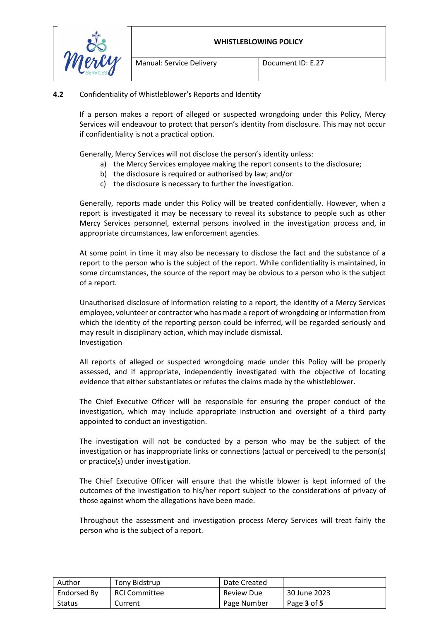

## **4.2** Confidentiality of Whistleblower's Reports and Identity

If a person makes a report of alleged or suspected wrongdoing under this Policy, Mercy Services will endeavour to protect that person's identity from disclosure. This may not occur if confidentiality is not a practical option.

Generally, Mercy Services will not disclose the person's identity unless:

- a) the Mercy Services employee making the report consents to the disclosure;
- b) the disclosure is required or authorised by law; and/or
- c) the disclosure is necessary to further the investigation.

Generally, reports made under this Policy will be treated confidentially. However, when a report is investigated it may be necessary to reveal its substance to people such as other Mercy Services personnel, external persons involved in the investigation process and, in appropriate circumstances, law enforcement agencies.

At some point in time it may also be necessary to disclose the fact and the substance of a report to the person who is the subject of the report. While confidentiality is maintained, in some circumstances, the source of the report may be obvious to a person who is the subject of a report.

Unauthorised disclosure of information relating to a report, the identity of a Mercy Services employee, volunteer or contractor who has made a report of wrongdoing or information from which the identity of the reporting person could be inferred, will be regarded seriously and may result in disciplinary action, which may include dismissal. Investigation

All reports of alleged or suspected wrongdoing made under this Policy will be properly assessed, and if appropriate, independently investigated with the objective of locating evidence that either substantiates or refutes the claims made by the whistleblower.

The Chief Executive Officer will be responsible for ensuring the proper conduct of the investigation, which may include appropriate instruction and oversight of a third party appointed to conduct an investigation.

The investigation will not be conducted by a person who may be the subject of the investigation or has inappropriate links or connections (actual or perceived) to the person(s) or practice(s) under investigation.

The Chief Executive Officer will ensure that the whistle blower is kept informed of the outcomes of the investigation to his/her report subject to the considerations of privacy of those against whom the allegations have been made.

Throughout the assessment and investigation process Mercy Services will treat fairly the person who is the subject of a report.

| Author      | Tony Bidstrup        | Date Created      |              |
|-------------|----------------------|-------------------|--------------|
| Endorsed By | <b>RCI Committee</b> | <b>Review Due</b> | 30 June 2023 |
| Status      | Current              | Page Number       | Page 3 of 5  |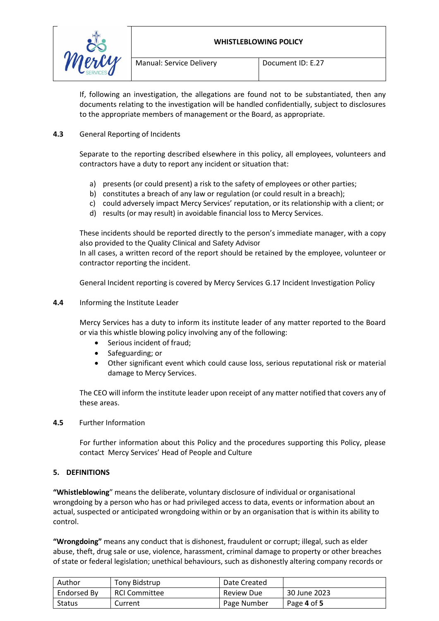#### **WHISTLEBLOWING POLICY**



If, following an investigation, the allegations are found not to be substantiated, then any documents relating to the investigation will be handled confidentially, subject to disclosures to the appropriate members of management or the Board, as appropriate.

## **4.3** General Reporting of Incidents

Separate to the reporting described elsewhere in this policy, all employees, volunteers and contractors have a duty to report any incident or situation that:

- a) presents (or could present) a risk to the safety of employees or other parties;
- b) constitutes a breach of any law or regulation (or could result in a breach);
- c) could adversely impact Mercy Services' reputation, or its relationship with a client; or
- d) results (or may result) in avoidable financial loss to Mercy Services.

These incidents should be reported directly to the person's immediate manager, with a copy also provided to the Quality Clinical and Safety Advisor

In all cases, a written record of the report should be retained by the employee, volunteer or contractor reporting the incident.

General Incident reporting is covered by Mercy Services G.17 Incident Investigation Policy

**4.4** Informing the Institute Leader

Mercy Services has a duty to inform its institute leader of any matter reported to the Board or via this whistle blowing policy involving any of the following:

- Serious incident of fraud;
- Safeguarding; or
- Other significant event which could cause loss, serious reputational risk or material damage to Mercy Services.

The CEO will inform the institute leader upon receipt of any matter notified that covers any of these areas.

### **4.5** Further Information

For further information about this Policy and the procedures supporting this Policy, please contact Mercy Services' Head of People and Culture

### **5. DEFINITIONS**

**"Whistleblowing**" means the deliberate, voluntary disclosure of individual or organisational wrongdoing by a person who has or had privileged access to data, events or information about an actual, suspected or anticipated wrongdoing within or by an organisation that is within its ability to control.

**"Wrongdoing"** means any conduct that is dishonest, fraudulent or corrupt; illegal, such as elder abuse, theft, drug sale or use, violence, harassment, criminal damage to property or other breaches of state or federal legislation; unethical behaviours, such as dishonestly altering company records or

| Author        | Tony Bidstrup        | Date Created |              |
|---------------|----------------------|--------------|--------------|
| Endorsed By   | <b>RCI Committee</b> | Review Due   | 30 June 2023 |
| <b>Status</b> | Current              | Page Number  | Page 4 of 5  |